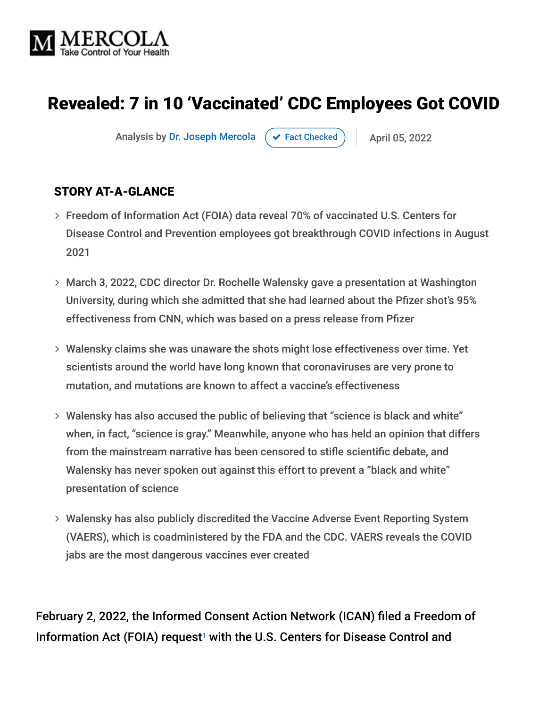

# Revealed: 7 in 10 'Vaccinated' CDC Employees Got COVID

Analysis by [Dr. Joseph Mercola](https://www.mercola.com/forms/background.htm)  $\rightarrow$  [Fact Checked](javascript:void(0))  $\rightarrow$  April 05, 2022

#### STORY AT-A-GLANCE

- Freedom of Information Act (FOIA) data reveal 70% of vaccinated U.S. Centers for Disease Control and Prevention employees got breakthrough COVID infections in August 2021
- March 3, 2022, CDC director Dr. Rochelle Walensky gave a presentation at Washington University, during which she admitted that she had learned about the Pfizer shot's 95% effectiveness from CNN, which was based on a press release from Pfizer
- Walensky claims she was unaware the shots might lose effectiveness over time. Yet scientists around the world have long known that coronaviruses are very prone to mutation, and mutations are known to affect a vaccine's effectiveness
- Walensky has also accused the public of believing that "science is black and white" when, in fact, "science is gray." Meanwhile, anyone who has held an opinion that differs from the mainstream narrative has been censored to stifle scientific debate, and Walensky has never spoken out against this effort to prevent a "black and white" presentation of science
- Walensky has also publicly discredited the Vaccine Adverse Event Reporting System (VAERS), which is coadministered by the FDA and the CDC. VAERS reveals the COVID jabs are the most dangerous vaccines ever created

February 2, 2022, the Informed Consent Action Network (ICAN) filed a Freedom of Information Act (FOIA) request<sup>1</sup> with the U.S. Centers for Disease Control and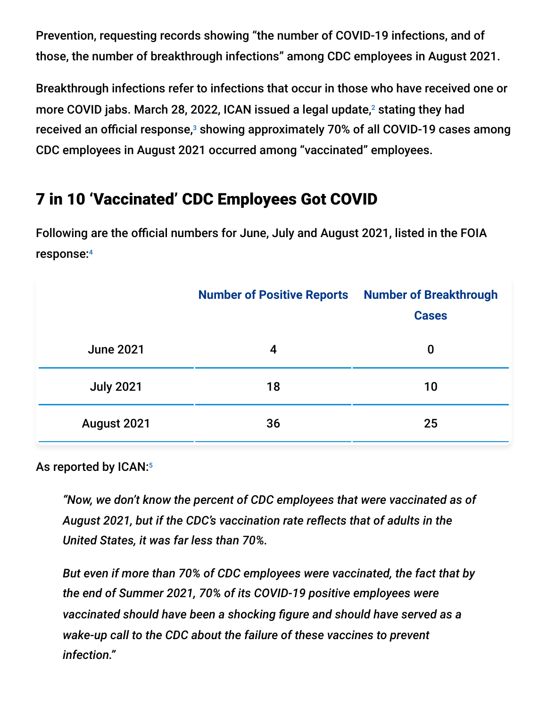Prevention, requesting records showing "the number of COVID-19 infections, and of those, the number of breakthrough infections" among CDC employees in August 2021.

Breakthrough infections refer to infections that occur in those who have received one or more COVID jabs. March 28, 2022, ICAN issued a legal update, $^2$  stating they had received an official response, $^{\text{\tiny 3}}$  showing approximately 70% of all COVID-19 cases among CDC employees in August 2021 occurred among "vaccinated" employees.

# 7 in 10 'Vaccinated' CDC Employees Got COVID

Following are the official numbers for June, July and August 2021, listed in the FOIA response: 4

|                  | <b>Number of Positive Reports</b> | <b>Number of Breakthrough</b><br><b>Cases</b> |
|------------------|-----------------------------------|-----------------------------------------------|
| <b>June 2021</b> | 4                                 | 0                                             |
| <b>July 2021</b> | 18                                | 10                                            |
| August 2021      | 36                                | 25                                            |

As reported by ICAN:<sup>5</sup>

*"Now, we don't know the percent of CDC employees that were vaccinated as of August 2021, but if the CDC's vaccination rate reflects that of adults in the United States, it was far less than 70%.*

*But even if more than 70% of CDC employees were vaccinated, the fact that by the end of Summer 2021, 70% of its COVID-19 positive employees were vaccinated should have been a shocking figure and should have served as a wake-up call to the CDC about the failure of these vaccines to prevent infection."*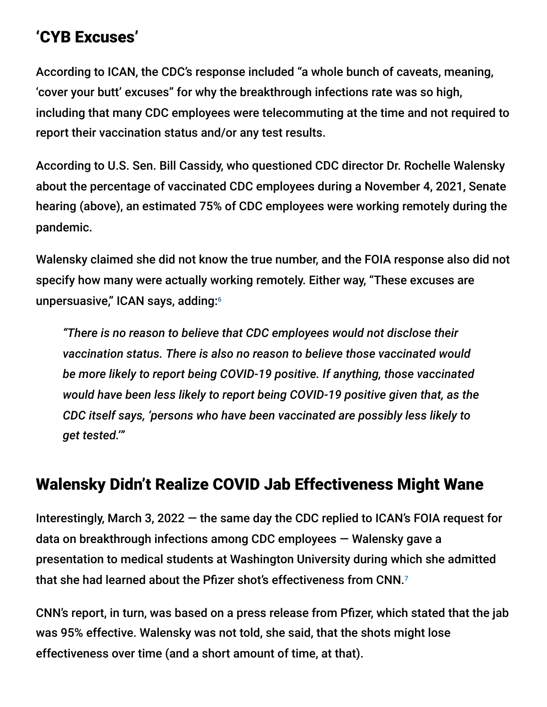# 'CYB Excuses'

According to ICAN, the CDC's response included "a whole bunch of caveats, meaning, 'cover your butt' excuses" for why the breakthrough infections rate was so high, including that many CDC employees were telecommuting at the time and not required to report their vaccination status and/or any test results.

According to U.S. Sen. Bill Cassidy, who questioned CDC director Dr. Rochelle Walensky about the percentage of vaccinated CDC employees during a November 4, 2021, Senate hearing (above), an estimated 75% of CDC employees were working remotely during the pandemic.

Walensky claimed she did not know the true number, and the FOIA response also did not specify how many were actually working remotely. Either way, "These excuses are unpersuasive," ICAN says, adding: 6

*"There is no reason to believe that CDC employees would not disclose their vaccination status. There is also no reason to believe those vaccinated would be more likely to report being COVID-19 positive. If anything, those vaccinated would have been less likely to report being COVID-19 positive given that, as the CDC itself says, 'persons who have been vaccinated are possibly less likely to get tested.'"*

# Walensky Didn't Realize COVID Jab Effectiveness Might Wane

Interestingly, March 3, 2022 — the same day the CDC replied to ICAN's FOIA request for data on breakthrough infections among CDC employees — Walensky gave a presentation to medical students at Washington University during which she admitted that she had learned about the Pfizer shot's effectiveness from CNN.<sup>7</sup>

CNN's report, in turn, was based on a press release from Pfizer, which stated that the jab was 95% effective. Walensky was not told, she said, that the shots might lose effectiveness over time (and a short amount of time, at that).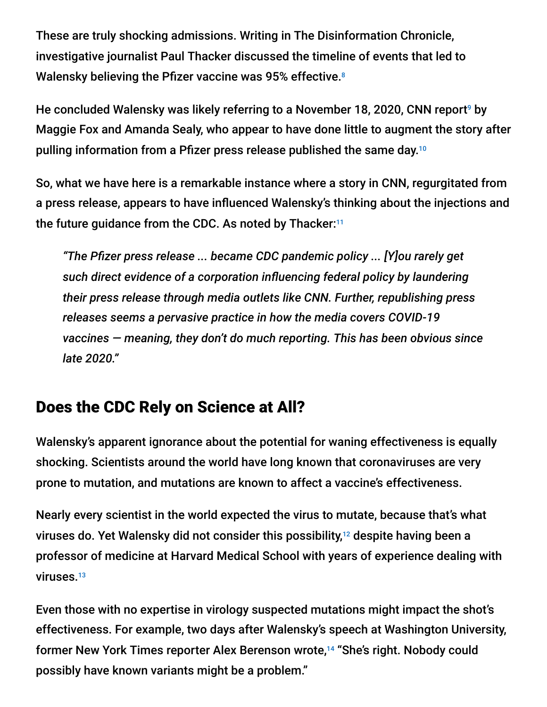These are truly shocking admissions. Writing in The Disinformation Chronicle, investigative journalist Paul Thacker discussed the timeline of events that led to Walensky believing the Pfizer vaccine was 95% effective. 8

He concluded Walensky was likely referring to a November 18, 2020, CNN report<sup>9</sup> by Maggie Fox and Amanda Sealy, who appear to have done little to augment the story after pulling information from a Pfizer press release published the same day. 10

So, what we have here is a remarkable instance where a story in CNN, regurgitated from a press release, appears to have influenced Walensky's thinking about the injections and the future guidance from the CDC. As noted by Thacker: 11

*"The Pfizer press release ... became CDC pandemic policy ... [Y]ou rarely get such direct evidence of a corporation influencing federal policy by laundering their press release through media outlets like CNN. Further, republishing press releases seems a pervasive practice in how the media covers COVID-19 vaccines — meaning, they don't do much reporting. This has been obvious since late 2020."*

# Does the CDC Rely on Science at All?

Walensky's apparent ignorance about the potential for waning effectiveness is equally shocking. Scientists around the world have long known that coronaviruses are very prone to mutation, and mutations are known to affect a vaccine's effectiveness.

Nearly every scientist in the world expected the virus to mutate, because that's what viruses do. Yet Walensky did not consider this possibility,<sup>12</sup> despite having been a professor of medicine at Harvard Medical School with years of experience dealing with viruses.<sup>13</sup>

Even those with no expertise in virology suspected mutations might impact the shot's effectiveness. For example, two days after Walensky's speech at Washington University, former New York Times reporter Alex Berenson wrote,<sup>14</sup> "She's right. Nobody could possibly have known variants might be a problem."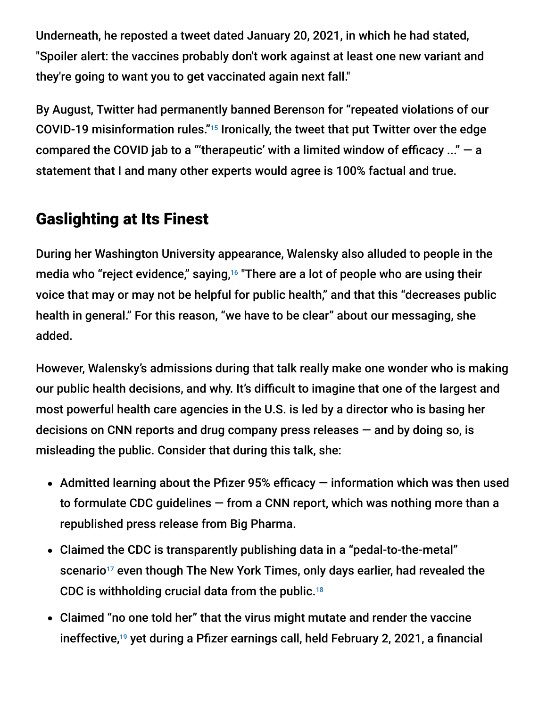Underneath, he reposted a tweet dated January 20, 2021, in which he had stated, "Spoiler alert: the vaccines probably don't work against at least one new variant and they're going to want you to get vaccinated again next fall."

By August, Twitter had permanently banned Berenson for "repeated violations of our COVID-19 misinformation rules."<sup>15</sup> Ironically, the tweet that put Twitter over the edge compared the COVID jab to a "'therapeutic' with a limited window of efficacy  $\ldots$ " – a statement that I and many other experts would agree is 100% factual and true.

# Gaslighting at Its Finest

During her Washington University appearance, Walensky also alluded to people in the media who "reject evidence," saying,<sup>16</sup> "There are a lot of people who are using their voice that may or may not be helpful for public health," and that this "decreases public health in general." For this reason, "we have to be clear" about our messaging, she added.

However, Walensky's admissions during that talk really make one wonder who is making our public health decisions, and why. It's difficult to imagine that one of the largest and most powerful health care agencies in the U.S. is led by a director who is basing her decisions on CNN reports and drug company press releases — and by doing so, is misleading the public. Consider that during this talk, she:

- Admitted learning about the Pfizer 95% efficacy  $-$  information which was then used to formulate CDC guidelines — from a CNN report, which was nothing more than a republished press release from Big Pharma.
- Claimed the CDC is transparently publishing data in a "pedal-to-the-metal" scenario<sup>17</sup> even though The New York Times, only days earlier, had revealed the CDC is withholding crucial data from the public. 18
- Claimed "no one told her" that the virus might mutate and render the vaccine ineffective,<sup>19</sup> yet during a Pfizer earnings call, held February 2, 2021, a financial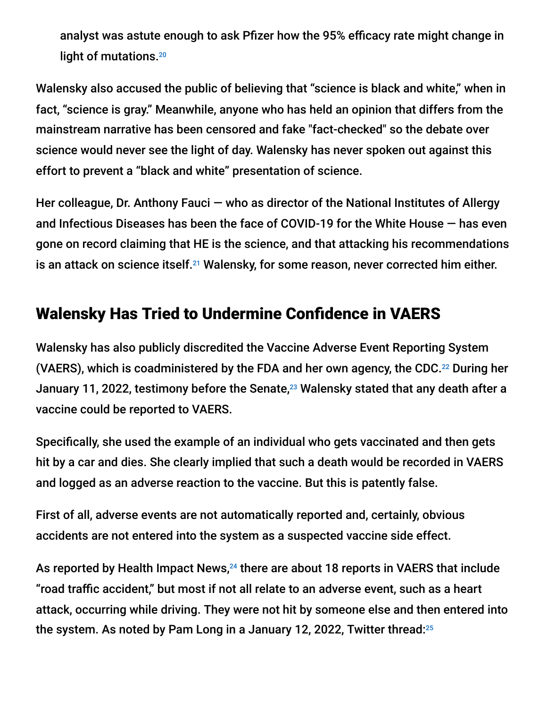analyst was astute enough to ask Pfizer how the 95% efficacy rate might change in light of mutations. 20

Walensky also accused the public of believing that "science is black and white," when in fact, "science is gray." Meanwhile, anyone who has held an opinion that differs from the mainstream narrative has been censored and fake "fact-checked" so the debate over science would never see the light of day. Walensky has never spoken out against this effort to prevent a "black and white" presentation of science.

Her colleague, Dr. Anthony Fauci – who as director of the National Institutes of Allergy and Infectious Diseases has been the face of COVID-19 for the White House — has even gone on record claiming that HE is the science, and that attacking his recommendations is an attack on science itself.<sup>21</sup> Walensky, for some reason, never corrected him either.

### Walensky Has Tried to Undermine Confidence in VAERS

Walensky has also publicly discredited the Vaccine Adverse Event Reporting System (VAERS), which is coadministered by the FDA and her own agency, the CDC. $^{22}$  During her January 11, 2022, testimony before the Senate, $^{23}$  Walensky stated that any death after a vaccine could be reported to VAERS.

Specifically, she used the example of an individual who gets vaccinated and then gets hit by a car and dies. She clearly implied that such a death would be recorded in VAERS and logged as an adverse reaction to the vaccine. But this is patently false.

First of all, adverse events are not automatically reported and, certainly, obvious accidents are not entered into the system as a suspected vaccine side effect.

As reported by Health Impact News, $^{24}$  there are about 18 reports in VAERS that include "road traffic accident," but most if not all relate to an adverse event, such as a heart attack, occurring while driving. They were not hit by someone else and then entered into the system. As noted by Pam Long in a January 12, 2022, Twitter thread: 25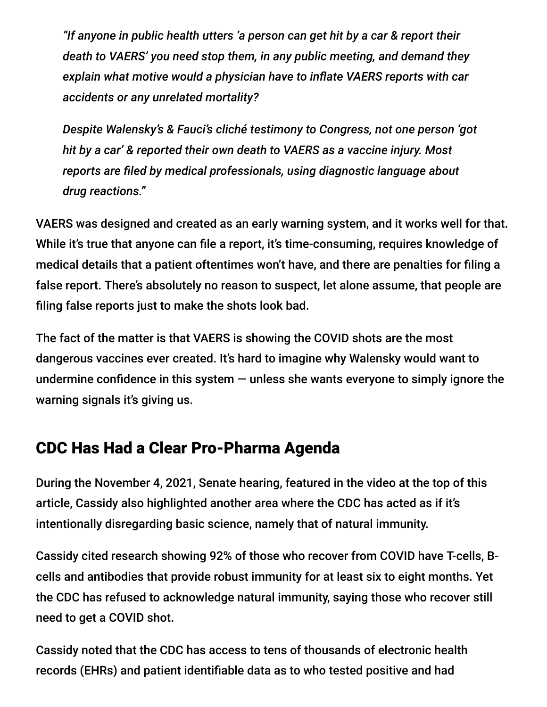*"If anyone in public health utters 'a person can get hit by a car & report their death to VAERS' you need stop them, in any public meeting, and demand they explain what motive would a physician have to inflate VAERS reports with car accidents or any unrelated mortality?*

*Despite Walensky's & Fauci's cliché testimony to Congress, not one person 'got hit by a car' & reported their own death to VAERS as a vaccine injury. Most reports are filed by medical professionals, using diagnostic language about drug reactions."*

VAERS was designed and created as an early warning system, and it works well for that. While it's true that anyone can file a report, it's time-consuming, requires knowledge of medical details that a patient oftentimes won't have, and there are penalties for filing a false report. There's absolutely no reason to suspect, let alone assume, that people are filing false reports just to make the shots look bad.

The fact of the matter is that VAERS is showing the COVID shots are the most dangerous vaccines ever created. It's hard to imagine why Walensky would want to undermine confidence in this system  $-$  unless she wants everyone to simply ignore the warning signals it's giving us.

### CDC Has Had a Clear Pro-Pharma Agenda

During the November 4, 2021, Senate hearing, featured in the video at the top of this article, Cassidy also highlighted another area where the CDC has acted as if it's intentionally disregarding basic science, namely that of natural immunity.

Cassidy cited research showing 92% of those who recover from COVID have T-cells, Bcells and antibodies that provide robust immunity for at least six to eight months. Yet the CDC has refused to acknowledge natural immunity, saying those who recover still need to get a COVID shot.

Cassidy noted that the CDC has access to tens of thousands of electronic health records (EHRs) and patient identifiable data as to who tested positive and had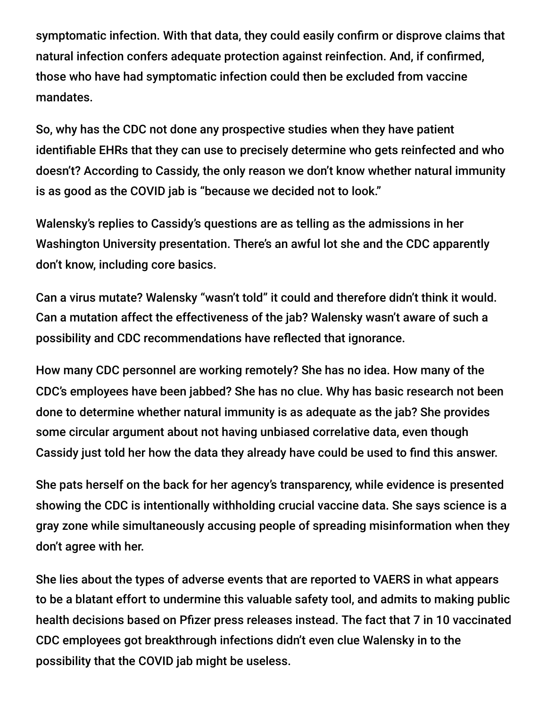symptomatic infection. With that data, they could easily confirm or disprove claims that natural infection confers adequate protection against reinfection. And, if confirmed, those who have had symptomatic infection could then be excluded from vaccine mandates.

So, why has the CDC not done any prospective studies when they have patient identifiable EHRs that they can use to precisely determine who gets reinfected and who doesn't? According to Cassidy, the only reason we don't know whether natural immunity is as good as the COVID jab is "because we decided not to look."

Walensky's replies to Cassidy's questions are as telling as the admissions in her Washington University presentation. There's an awful lot she and the CDC apparently don't know, including core basics.

Can a virus mutate? Walensky "wasn't told" it could and therefore didn't think it would. Can a mutation affect the effectiveness of the jab? Walensky wasn't aware of such a possibility and CDC recommendations have reflected that ignorance.

How many CDC personnel are working remotely? She has no idea. How many of the CDC's employees have been jabbed? She has no clue. Why has basic research not been done to determine whether natural immunity is as adequate as the jab? She provides some circular argument about not having unbiased correlative data, even though Cassidy just told her how the data they already have could be used to find this answer.

She pats herself on the back for her agency's transparency, while evidence is presented showing the CDC is intentionally withholding crucial vaccine data. She says science is a gray zone while simultaneously accusing people of spreading misinformation when they don't agree with her.

She lies about the types of adverse events that are reported to VAERS in what appears to be a blatant effort to undermine this valuable safety tool, and admits to making public health decisions based on Pfizer press releases instead. The fact that 7 in 10 vaccinated CDC employees got breakthrough infections didn't even clue Walensky in to the possibility that the COVID jab might be useless.